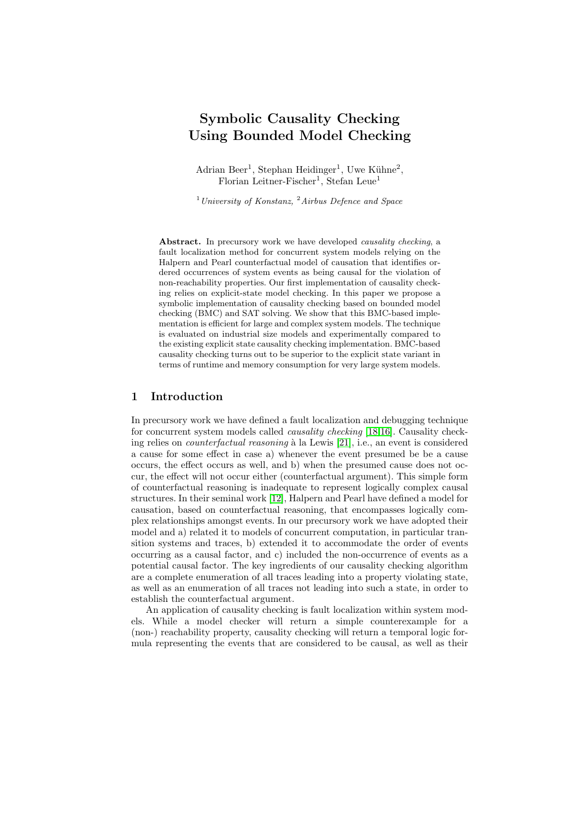# Symbolic Causality Checking Using Bounded Model Checking

Adrian Beer<sup>1</sup>, Stephan Heidinger<sup>1</sup>, Uwe Kühne<sup>2</sup>, Florian Leitner-Fischer<sup>1</sup>, Stefan Leue<sup>1</sup>

 $1$ University of Konstanz,  $2$ Airbus Defence and Space

Abstract. In precursory work we have developed *causality checking*, a fault localization method for concurrent system models relying on the Halpern and Pearl counterfactual model of causation that identifies ordered occurrences of system events as being causal for the violation of non-reachability properties. Our first implementation of causality checking relies on explicit-state model checking. In this paper we propose a symbolic implementation of causality checking based on bounded model checking (BMC) and SAT solving. We show that this BMC-based implementation is efficient for large and complex system models. The technique is evaluated on industrial size models and experimentally compared to the existing explicit state causality checking implementation. BMC-based causality checking turns out to be superior to the explicit state variant in terms of runtime and memory consumption for very large system models.

## 1 Introduction

In precursory work we have defined a fault localization and debugging technique for concurrent system models called causality checking [\[18,](#page-17-0)[16\]](#page-17-1). Causality checking relies on *counterfactual reasoning*  $\grave{a}$  la Lewis [\[21\]](#page-17-2), i.e., an event is considered a cause for some effect in case a) whenever the event presumed be be a cause occurs, the effect occurs as well, and b) when the presumed cause does not occur, the effect will not occur either (counterfactual argument). This simple form of counterfactual reasoning is inadequate to represent logically complex causal structures. In their seminal work [\[12\]](#page-16-0), Halpern and Pearl have defined a model for causation, based on counterfactual reasoning, that encompasses logically complex relationships amongst events. In our precursory work we have adopted their model and a) related it to models of concurrent computation, in particular transition systems and traces, b) extended it to accommodate the order of events occurring as a causal factor, and c) included the non-occurrence of events as a potential causal factor. The key ingredients of our causality checking algorithm are a complete enumeration of all traces leading into a property violating state, as well as an enumeration of all traces not leading into such a state, in order to establish the counterfactual argument.

An application of causality checking is fault localization within system models. While a model checker will return a simple counterexample for a (non-) reachability property, causality checking will return a temporal logic formula representing the events that are considered to be causal, as well as their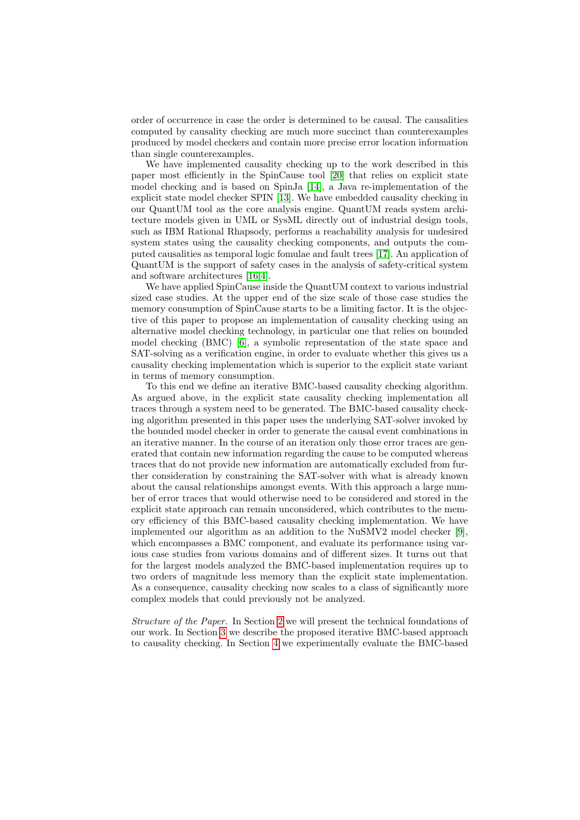order of occurrence in case the order is determined to be causal. The causalities computed by causality checking are much more succinct than counterexamples produced by model checkers and contain more precise error location information than single counterexamples.

We have implemented causality checking up to the work described in this paper most efficiently in the SpinCause tool [\[20\]](#page-17-3) that relies on explicit state model checking and is based on SpinJa [\[14\]](#page-16-1), a Java re-implementation of the explicit state model checker SPIN [\[13\]](#page-16-2). We have embedded causality checking in our QuantUM tool as the core analysis engine. QuantUM reads system architecture models given in UML or SysML directly out of industrial design tools, such as IBM Rational Rhapsody, performs a reachability analysis for undesired system states using the causality checking components, and outputs the computed causalities as temporal logic fomulae and fault trees [\[17\]](#page-17-4). An application of QuantUM is the support of safety cases in the analysis of safety-critical system and software architectures [\[16,](#page-17-1)[4\]](#page-16-3).

We have applied SpinCause inside the QuantUM context to various industrial sized case studies. At the upper end of the size scale of those case studies the memory consumption of SpinCause starts to be a limiting factor. It is the objective of this paper to propose an implementation of causality checking using an alternative model checking technology, in particular one that relies on bounded model checking (BMC) [\[6\]](#page-16-4), a symbolic representation of the state space and SAT-solving as a verification engine, in order to evaluate whether this gives us a causality checking implementation which is superior to the explicit state variant in terms of memory consumption.

To this end we define an iterative BMC-based causality checking algorithm. As argued above, in the explicit state causality checking implementation all traces through a system need to be generated. The BMC-based causality checking algorithm presented in this paper uses the underlying SAT-solver invoked by the bounded model checker in order to generate the causal event combinations in an iterative manner. In the course of an iteration only those error traces are generated that contain new information regarding the cause to be computed whereas traces that do not provide new information are automatically excluded from further consideration by constraining the SAT-solver with what is already known about the causal relationships amongst events. With this approach a large number of error traces that would otherwise need to be considered and stored in the explicit state approach can remain unconsidered, which contributes to the memory efficiency of this BMC-based causality checking implementation. We have implemented our algorithm as an addition to the NuSMV2 model checker [\[9\]](#page-16-5), which encompasses a BMC component, and evaluate its performance using various case studies from various domains and of different sizes. It turns out that for the largest models analyzed the BMC-based implementation requires up to two orders of magnitude less memory than the explicit state implementation. As a consequence, causality checking now scales to a class of significantly more complex models that could previously not be analyzed.

Structure of the Paper. In Section [2](#page-2-0) we will present the technical foundations of our work. In Section [3](#page-6-0) we describe the proposed iterative BMC-based approach to causality checking. In Section [4](#page-13-0) we experimentally evaluate the BMC-based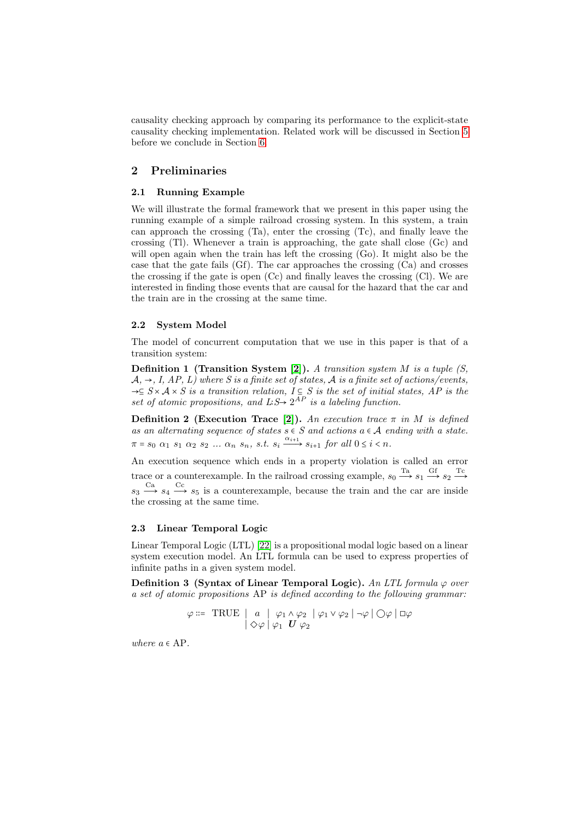causality checking approach by comparing its performance to the explicit-state causality checking implementation. Related work will be discussed in Section [5](#page-15-0) before we conclude in Section [6.](#page-15-1)

## <span id="page-2-0"></span>2 Preliminaries

## <span id="page-2-2"></span>2.1 Running Example

We will illustrate the formal framework that we present in this paper using the running example of a simple railroad crossing system. In this system, a train can approach the crossing  $(T_a)$ , enter the crossing  $(T_c)$ , and finally leave the crossing (Tl). Whenever a train is approaching, the gate shall close (Gc) and will open again when the train has left the crossing (Go). It might also be the case that the gate fails (Gf). The car approaches the crossing (Ca) and crosses the crossing if the gate is open  $(Cc)$  and finally leaves the crossing  $(Cl)$ . We are interested in finding those events that are causal for the hazard that the car and the train are in the crossing at the same time.

### 2.2 System Model

The model of concurrent computation that we use in this paper is that of a transition system:

**Definition 1 (Transition System [\[2\]](#page-16-6)).** A transition system M is a tuple  $(S$ .  $\mathcal{A}, \rightarrow$ , I, AP, L) where S is a finite set of states, A is a finite set of actions/events,  $\rightarrow \subseteq S \times A \times S$  is a transition relation,  $I \subseteq S$  is the set of initial states, AP is the set of atomic propositions, and  $L: S \rightarrow 2^{AP}$  is a labeling function.

Definition 2 (Execution Trace [\[2\]](#page-16-6)). An execution trace  $\pi$  in M is defined as an alternating sequence of states  $s \in S$  and actions  $a \in A$  ending with a state.  $\pi = s_0 \alpha_1 s_1 \alpha_2 s_2 \dots \alpha_n s_n$ , s.t.  $s_i \xrightarrow{\alpha_{i+1}} s_{i+1}$  for all  $0 \le i < n$ .

An execution sequence which ends in a property violation is called an error trace or a counterexample. In the railroad crossing example,  $s_0 \stackrel{\text{Ta}}{\longrightarrow} s_1 \stackrel{\text{Gf}}{\longrightarrow} s_2 \stackrel{\text{Tc}}{\longrightarrow}$  $s_3 \stackrel{\text{Ca}}{\longrightarrow} s_4 \stackrel{\text{Cc}}{\longrightarrow} s_5$  is a counterexample, because the train and the car are inside the crossing at the same time.

### <span id="page-2-1"></span>2.3 Linear Temporal Logic

Linear Temporal Logic (LTL) [\[22\]](#page-17-5) is a propositional modal logic based on a linear system execution model. An LTL formula can be used to express properties of infinite paths in a given system model.

Definition 3 (Syntax of Linear Temporal Logic). An LTL formula  $\varphi$  over a set of atomic propositions AP is defined according to the following grammar:

$$
\varphi ::= \text{ TRUE} \mid a \mid \varphi_1 \land \varphi_2 \mid \varphi_1 \lor \varphi_2 \mid \neg \varphi \mid \bigcirc \varphi \mid \Box \varphi
$$
  

$$
\mid \Diamond \varphi \mid \varphi_1 \text{ U } \varphi_2
$$

where  $a \in AP$ .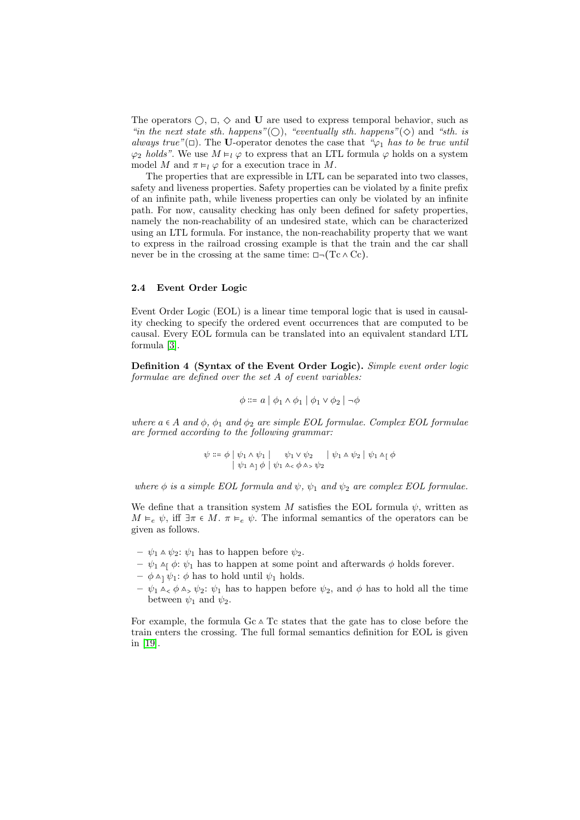The operators  $\bigcirc$ ,  $\Box$ ,  $\Diamond$  and **U** are used to express temporal behavior, such as "in the next state sth. happens"( $\bigcirc$ ), "eventually sth. happens"( $\diamond$ ) and "sth. is always true"( $\Box$ ). The U-operator denotes the case that " $\varphi_1$  has to be true until  $\varphi_2$  holds". We use  $M \models_l \varphi$  to express that an LTL formula  $\varphi$  holds on a system model M and  $\pi \models_l \varphi$  for a execution trace in M.

The properties that are expressible in LTL can be separated into two classes, safety and liveness properties. Safety properties can be violated by a finite prefix of an infinite path, while liveness properties can only be violated by an infinite path. For now, causality checking has only been defined for safety properties, namely the non-reachability of an undesired state, which can be characterized using an LTL formula. For instance, the non-reachability property that we want to express in the railroad crossing example is that the train and the car shall never be in the crossing at the same time:  $\Box \neg (Tc \land Cc)$ .

### 2.4 Event Order Logic

Event Order Logic (EOL) is a linear time temporal logic that is used in causality checking to specify the ordered event occurrences that are computed to be causal. Every EOL formula can be translated into an equivalent standard LTL formula [\[3\]](#page-16-7).

Definition 4 (Syntax of the Event Order Logic). Simple event order logic formulae are defined over the set A of event variables:

$$
\phi ::= a \mid \phi_1 \land \phi_1 \mid \phi_1 \lor \phi_2 \mid \neg \phi
$$

where  $a \in A$  and  $\phi$ ,  $\phi_1$  and  $\phi_2$  are simple EOL formulae. Complex EOL formulae are formed according to the following grammar:

$$
\psi ::= \phi \mid \psi_1 \land \psi_1 \mid \psi_1 \lor \psi_2 \mid \psi_1 \land \psi_2 \mid \psi_1 \land \phi_1 \phi
$$
  
 
$$
\mid \psi_1 \land_1 \phi \mid \psi_1 \land_< \phi \land_>
$$

where  $\phi$  is a simple EOL formula and  $\psi$ ,  $\psi_1$  and  $\psi_2$  are complex EOL formulae.

We define that a transition system M satisfies the EOL formula  $\psi$ , written as  $M \vDash_{e} \psi$ , iff  $\exists \pi \in M$ .  $\pi \vDash_{e} \psi$ . The informal semantics of the operators can be given as follows.

- $-\psi_1 \wedge \psi_2$ :  $\psi_1$  has to happen before  $\psi_2$ .
- $-$  ψ<sub>1</sub>  $\alpha$ <sub>I</sub>  $\phi$ : ψ<sub>1</sub> has to happen at some point and afterwards φ holds forever.
- φ  $\wedge$ <sub>1</sub>  $\psi$ <sub>1</sub>: φ has to hold until  $\psi$ <sub>1</sub> holds.
- $-\psi_1 \wedge \psi_2$   $\psi_2$ :  $\psi_1$  has to happen before  $\psi_2$ , and  $\phi$  has to hold all the time between  $\psi_1$  and  $\psi_2$ .

For example, the formula  $Gc \wedge Tc$  states that the gate has to close before the train enters the crossing. The full formal semantics definition for EOL is given in [\[19\]](#page-17-6).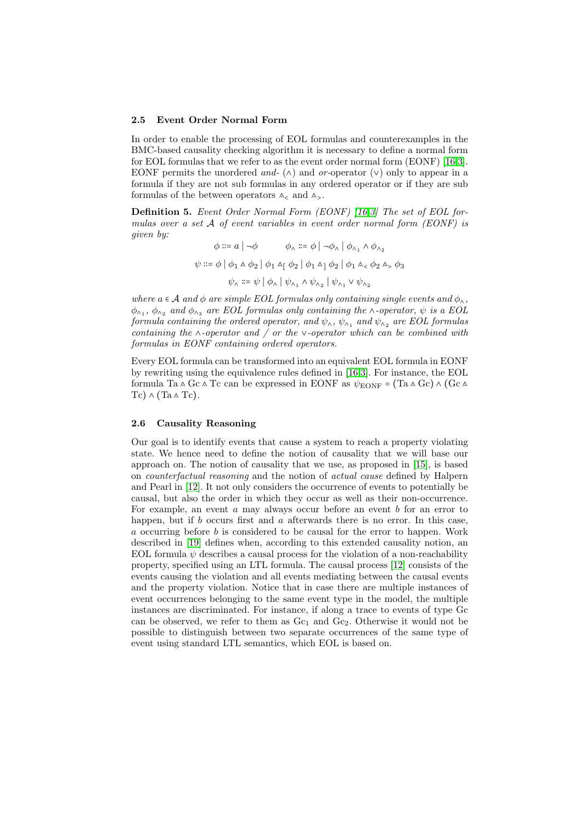#### 2.5 Event Order Normal Form

In order to enable the processing of EOL formulas and counterexamples in the BMC-based causality checking algorithm it is necessary to define a normal form for EOL formulas that we refer to as the event order normal form (EONF) [\[16,](#page-17-1)[3\]](#page-16-7). EONF permits the unordered and-  $(\wedge)$  and or-operator  $(\vee)$  only to appear in a formula if they are not sub formulas in any ordered operator or if they are sub formulas of the between operators  $\lambda_{\leq}$  and  $\lambda_{>}$ .

Definition 5. Event Order Normal Form (EONF) [\[16,](#page-17-1)[3\]](#page-16-7) The set of EOL formulas over a set A of event variables in event order normal form (EONF) is given by:

$$
\phi ::= a \mid \neg \phi \qquad \phi_{\wedge} ::= \phi \mid \neg \phi_{\wedge} \mid \phi_{\wedge_1} \wedge \phi_{\wedge_2}
$$
  

$$
\psi ::= \phi \mid \phi_1 \wedge \phi_2 \mid \phi_1 \wedge [\phi_2 \mid \phi_1 \wedge \phi_2 \mid \phi_1 \wedge \phi_2 \wedge_{\wedge} \phi_3]
$$
  

$$
\psi_{\wedge} ::= \psi \mid \phi_{\wedge} \mid \psi_{\wedge_1} \wedge \psi_{\wedge_2} \mid \psi_{\wedge_1} \vee \psi_{\wedge_2}
$$

where  $a \in A$  and  $\phi$  are simple EOL formulas only containing single events and  $\phi_{\wedge}$ ,  $\phi_{\wedge_1}, \phi_{\wedge_2}$  and  $\phi_{\wedge_3}$  are EOL formulas only containing the ∧-operator,  $\psi$  is a EOL formula containing the ordered operator, and  $\psi_{\wedge}$ ,  $\psi_{\wedge 1}$  and  $\psi_{\wedge 2}$  are EOL formulas containing the ∧-operator and / or the ∨-operator which can be combined with formulas in EONF containing ordered operators.

Every EOL formula can be transformed into an equivalent EOL formula in EONF by rewriting using the equivalence rules defined in [\[16,](#page-17-1)[3\]](#page-16-7). For instance, the EOL formula Ta  $\wedge$  Gc  $\wedge$  Tc can be expressed in EONF as  $\psi_{\rm EONF} =$  (Ta  $\wedge$  Gc)  $\wedge$  (Gc  $\wedge$  $Tc) \wedge (Ta \wedge Tc)$ .

#### 2.6 Causality Reasoning

<span id="page-4-0"></span>Our goal is to identify events that cause a system to reach a property violating state. We hence need to define the notion of causality that we will base our approach on. The notion of causality that we use, as proposed in [\[15\]](#page-17-7), is based on counterfactual reasoning and the notion of actual cause defined by Halpern and Pearl in [\[12\]](#page-16-0). It not only considers the occurrence of events to potentially be causal, but also the order in which they occur as well as their non-occurrence. For example, an event  $a$  may always occur before an event  $b$  for an error to happen, but if  $b$  occurs first and  $a$  afterwards there is no error. In this case, a occurring before b is considered to be causal for the error to happen. Work described in [\[19\]](#page-17-6) defines when, according to this extended causality notion, an EOL formula  $\psi$  describes a causal process for the violation of a non-reachability property, specified using an LTL formula. The causal process [\[12\]](#page-16-0) consists of the events causing the violation and all events mediating between the causal events and the property violation. Notice that in case there are multiple instances of event occurrences belonging to the same event type in the model, the multiple instances are discriminated. For instance, if along a trace to events of type Gc can be observed, we refer to them as  $\text{Gc}_1$  and  $\text{Gc}_2$ . Otherwise it would not be possible to distinguish between two separate occurrences of the same type of event using standard LTL semantics, which EOL is based on.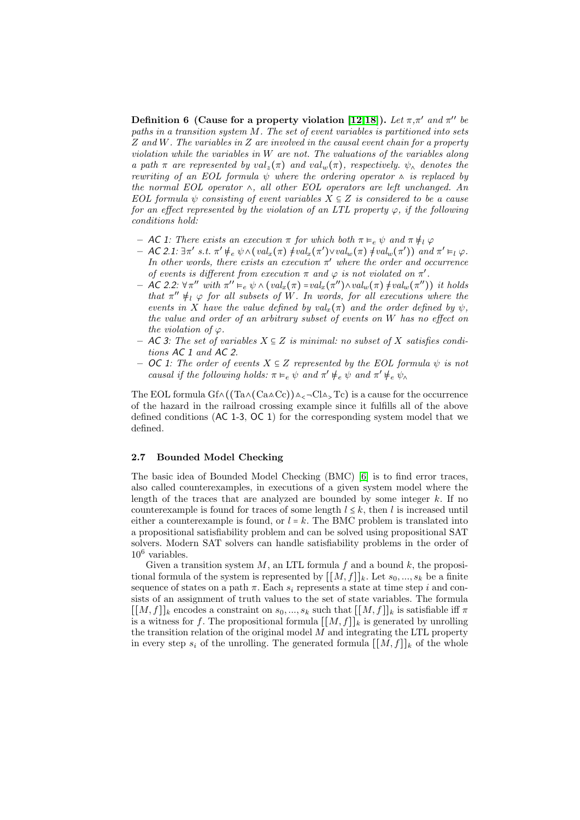Definition 6 (Cause for a property violation [\[12,](#page-16-0)[18\]](#page-17-0)). Let  $\pi, \pi'$  and  $\pi''$  be paths in a transition system M. The set of event variables is partitioned into sets  $Z$  and  $W$ . The variables in  $Z$  are involved in the causal event chain for a property violation while the variables in W are not. The valuations of the variables along a path  $\pi$  are represented by val<sub>z</sub>( $\pi$ ) and val<sub>w</sub>( $\pi$ ), respectively.  $\psi_{\Lambda}$  denotes the rewriting of an EOL formula  $\psi$  where the ordering operator  $\wedge$  is replaced by the normal EOL operator ∧, all other EOL operators are left unchanged. An EOL formula  $\psi$  consisting of event variables  $X \subseteq Z$  is considered to be a cause for an effect represented by the violation of an LTL property  $\varphi$ , if the following conditions hold:

- AC 1: There exists an execution π for which both  $π ⊨_e ψ$  and  $π \nDash_l φ$
- $-$  AC 2.1: ∃π' s.t. π'  $\neq_e \psi \wedge (val_x(\pi) \neq val_x(\pi') \vee val_w(\pi) \neq val_w(\pi'))$  and  $\pi' \vDash_l \varphi$ . In other words, there exists an execution  $\pi'$  where the order and occurrence of events is different from execution  $\pi$  and  $\varphi$  is not violated on  $\pi'$ .
- $-$  AC 2.2:  $\forall \pi''$  with  $\pi'' \vDash_{e} \psi \wedge (val_{x}(\pi) = val_{x}(\pi'') \wedge val_{w}(\pi) \neq val_{w}(\pi''))$  it holds that  $\pi''$   $\neq_l \varphi$  for all subsets of W. In words, for all executions where the events in X have the value defined by val<sub>x</sub>( $\pi$ ) and the order defined by  $\psi$ , the value and order of an arbitrary subset of events on W has no effect on the violation of  $\varphi$ .
- AC 3: The set of variables X ⊆ Z is minimal: no subset of X satisfies conditions AC 1 and AC 2.
- $-$  OC 1: The order of events  $X ⊆ Z$  represented by the EOL formula  $ψ$  is not causal if the following holds:  $\pi \vDash_e \psi$  and  $\pi' \not\models_e \psi$  and  $\pi' \not\models_e \psi$

The EOL formula  $Gf \wedge ((Ta \wedge (Ca \wedge Cc)) \wedge \neg Cla \wedge \neg Tc)$  is a cause for the occurrence of the hazard in the railroad crossing example since it fulfills all of the above defined conditions (AC 1-3, OC 1) for the corresponding system model that we defined.

#### 2.7 Bounded Model Checking

The basic idea of Bounded Model Checking (BMC) [\[6\]](#page-16-4) is to find error traces, also called counterexamples, in executions of a given system model where the length of the traces that are analyzed are bounded by some integer  $k$ . If no counterexample is found for traces of some length  $l \leq k$ , then l is increased until either a counterexample is found, or  $l = k$ . The BMC problem is translated into a propositional satisfiability problem and can be solved using propositional SAT solvers. Modern SAT solvers can handle satisfiability problems in the order of  $10^6$  variables.

Given a transition system  $M$ , an LTL formula  $f$  and a bound  $k$ , the propositional formula of the system is represented by  $[[M, f]]_k$ . Let  $s_0, ..., s_k$  be a finite sequence of states on a path  $\pi$ . Each  $s_i$  represents a state at time step i and consists of an assignment of truth values to the set of state variables. The formula  $[[M, f]]_k$  encodes a constraint on  $s_0, ..., s_k$  such that  $[[M, f]]_k$  is satisfiable iff  $\pi$ is a witness for f. The propositional formula  $[[M, f]]_k$  is generated by unrolling the transition relation of the original model  $M$  and integrating the LTL property in every step  $s_i$  of the unrolling. The generated formula  $[[M, f]]_k$  of the whole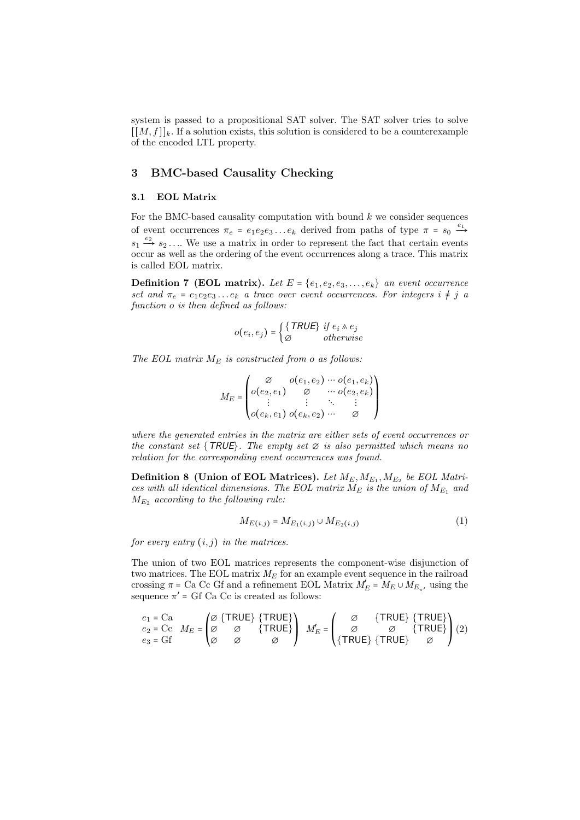system is passed to a propositional SAT solver. The SAT solver tries to solve  $[[M, f]]_k$ . If a solution exists, this solution is considered to be a counterexample of the encoded LTL property.

## <span id="page-6-0"></span>3 BMC-based Causality Checking

## 3.1 EOL Matrix

For the BMC-based causality computation with bound  $k$  we consider sequences of event occurrences  $\pi_e = e_1 e_2 e_3 ... e_k$  derived from paths of type  $\pi = s_0 \stackrel{e_1}{\longrightarrow}$  $s_1 \stackrel{e_2}{\rightarrow} s_2 \dots$  We use a matrix in order to represent the fact that certain events occur as well as the ordering of the event occurrences along a trace. This matrix is called EOL matrix.

**Definition 7 (EOL matrix).** Let  $E = \{e_1, e_2, e_3, \ldots, e_k\}$  an event occurrence set and  $\pi_e = e_1e_2e_3...e_k$  a trace over event occurrences. For integers  $i \neq j$  a function o is then defined as follows:

<span id="page-6-1"></span>
$$
o(e_i, e_j) = \begin{cases} \{ \text{TRUE} \} & \text{if } e_i \wedge e_j \\ \varnothing & \text{otherwise} \end{cases}
$$

The EOL matrix  $M_E$  is constructed from o as follows:

$$
M_E = \begin{pmatrix} \varnothing & o(e_1, e_2) & \cdots & o(e_1, e_k) \\ o(e_2, e_1) & \varnothing & \cdots & o(e_2, e_k) \\ \vdots & \vdots & \ddots & \vdots \\ o(e_k, e_1) & o(e_k, e_2) & \cdots & \varnothing \end{pmatrix}
$$

where the generated entries in the matrix are either sets of event occurrences or the constant set  $\{TRUE\}$ . The empty set  $\emptyset$  is also permitted which means no relation for the corresponding event occurrences was found.

<span id="page-6-3"></span>Definition 8 (Union of EOL Matrices). Let  $M_E, M_{E_1}, M_{E_2}$  be EOL Matrices with all identical dimensions. The EOL matrix  $M_E$  is the union of  $M_{E_1}$  and  $M_{E_2}$  according to the following rule:

$$
M_{E(i,j)} = M_{E_1(i,j)} \cup M_{E_2(i,j)} \tag{1}
$$

for every entry  $(i, j)$  in the matrices.

The union of two EOL matrices represents the component-wise disjunction of two matrices. The EOL matrix  $M_E$  for an example event sequence in the railroad crossing  $\pi$  = Ca Cc Gf and a refinement EOL Matrix  $M'_E = M_E \cup M_{E_{\pi'}}$ , using the sequence  $\pi'$  = Gf Ca Cc is created as follows:

<span id="page-6-2"></span>
$$
e_1 = \text{Ca}
$$
\n
$$
e_2 = \text{Cc}
$$
\n
$$
M_E = \begin{pmatrix} \varnothing & \{TRUE\} & \{TRUE\} \\ \varnothing & \varnothing & \{TRUE\} \end{pmatrix}
$$
\n
$$
M'_E = \begin{pmatrix} \varnothing & \{TRUE\} & \{TRUE\} \\ \varnothing & \varnothing & \{TRUE\} \end{pmatrix}
$$
\n
$$
(2)
$$
\n
$$
\{TRUE\}
$$
\n
$$
\{TRUE\}
$$
\n
$$
\{TRUE\}
$$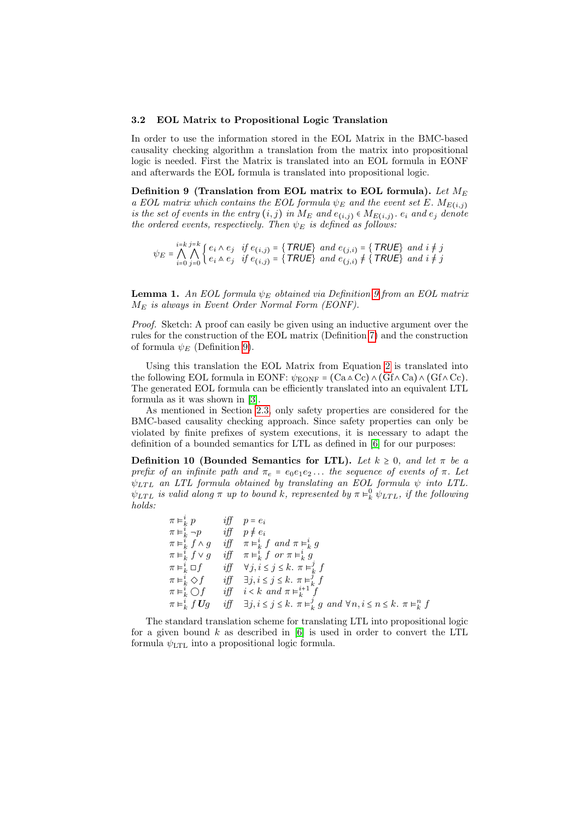#### 3.2 EOL Matrix to Propositional Logic Translation

In order to use the information stored in the EOL Matrix in the BMC-based causality checking algorithm a translation from the matrix into propositional logic is needed. First the Matrix is translated into an EOL formula in EONF and afterwards the EOL formula is translated into propositional logic.

<span id="page-7-0"></span>Definition 9 (Translation from EOL matrix to EOL formula). Let  $M_E$ a EOL matrix which contains the EOL formula  $\psi_E$  and the event set E.  $M_{E(i,j)}$ is the set of events in the entry  $(i, j)$  in  $M_E$  and  $e_{(i, j)} \in M_{E(i, j)}$ .  $e_i$  and  $e_j$  denote the ordered events, respectively. Then  $\psi_E$  is defined as follows:

$$
\psi_E = \bigwedge_{i=0}^{i=k} \bigwedge_{j=0}^{j=k} \begin{cases} e_i \wedge e_j & \text{if } e_{(i,j)} = \{\text{TRUE}\} \text{ and } e_{(j,i)} = \{\text{TRUE}\} \text{ and } i \neq j \\ e_i \wedge e_j & \text{if } e_{(i,j)} = \{\text{TRUE}\} \text{ and } e_{(j,i)} \neq \{\text{TRUE}\} \text{ and } i \neq j \end{cases}
$$

**Lemma 1.** An EOL formula  $\psi_E$  obtained via Definition [9](#page-7-0) from an EOL matrix  $M_E$  is always in Event Order Normal Form (EONF).

Proof. Sketch: A proof can easily be given using an inductive argument over the rules for the construction of the EOL matrix (Definition [7\)](#page-6-1) and the construction of formula  $\psi_E$  (Definition [9\)](#page-7-0).

Using this translation the EOL Matrix from Equation [2](#page-6-2) is translated into the following EOL formula in EONF:  $\psi_{\rm EONF} = (\text{Ca} \wedge \text{Cc}) \wedge (\text{Gf} \wedge \text{Ca}) \wedge (\text{Gf} \wedge \text{Cc}).$ The generated EOL formula can be efficiently translated into an equivalent LTL formula as it was shown in [\[3\]](#page-16-7).

As mentioned in Section [2.3,](#page-2-1) only safety properties are considered for the BMC-based causality checking approach. Since safety properties can only be violated by finite prefixes of system executions, it is necessary to adapt the definition of a bounded semantics for LTL as defined in [\[6\]](#page-16-4) for our purposes:

Definition 10 (Bounded Semantics for LTL). Let  $k \geq 0$ , and let  $\pi$  be a prefix of an infinite path and  $\pi_e = e_0e_1e_2...$  the sequence of events of  $\pi$ . Let  $\psi_{LTL}$  an LTL formula obtained by translating an EOL formula  $\psi$  into LTL.  $\psi_{LTL}$  is valid along  $\pi$  up to bound k, represented by  $\pi \vDash^{0}_{k} \psi_{LTL}$ , if the following holds:

> <span id="page-7-1"></span> $\pi \vDash^i_k$ iff  $p = e_i$  $\pi \vDash^i_k$  $\iota_k \neg p$  iff  $p \neq e_i$  $\pi \vDash_k^i f \wedge g$  iff  $\pi \vDash_k^i f$  and  $\pi \vDash_k^i g$  $\pi \vDash_k^i f \vee g$  iff  $\pi \vDash_k^i f$  or  $\pi \vDash_k^i g$  $\pi \vDash_k \Box f$  iff  $\forall j, i \leq j \leq k$ .  $\pi \vDash_k^j f$  $\pi \vDash_k^i \Diamond f$  iff  $\exists j, i \leq j \leq k$ .  $\pi \vDash_k^j f$  $\pi \vDash_k^i \bigcirc f$  iff  $i < k$  and  $\pi \vDash_k^{i+1} f$  $\pi \vdash_k^i f \mathbf{U} g$  iff  $\exists j, i \leq j \leq k$ .  $\pi \vdash_k^j g$  and  $\forall n, i \leq n \leq k$ .  $\pi \vdash_k^n f$

The standard translation scheme for translating LTL into propositional logic for a given bound  $k$  as described in  $[6]$  is used in order to convert the LTL formula  $\psi_{\text{LTL}}$  into a propositional logic formula.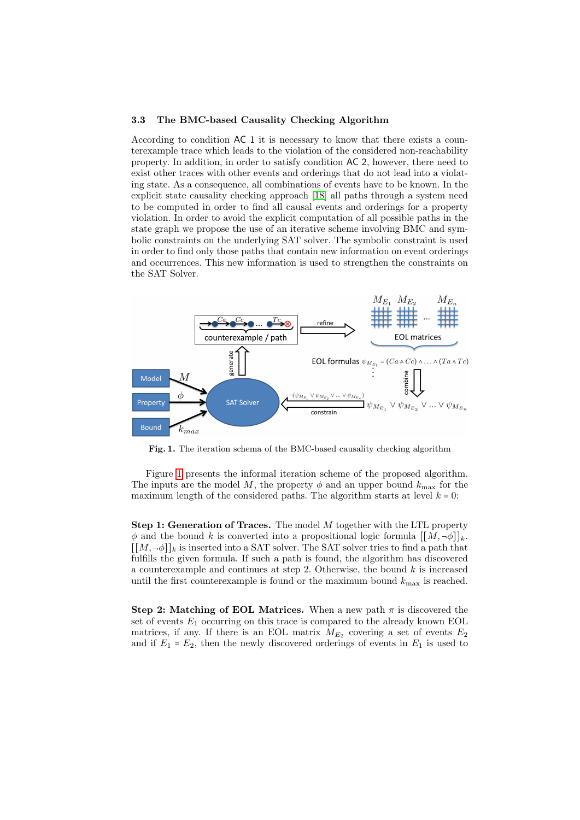#### 3.3 The BMC-based Causality Checking Algorithm

According to condition AC 1 it is necessary to know that there exists a counterexample trace which leads to the violation of the considered non-reachability property. In addition, in order to satisfy condition AC 2, however, there need to exist other traces with other events and orderings that do not lead into a violating state. As a consequence, all combinations of events have to be known. In the explicit state causality checking approach [\[18\]](#page-17-0) all paths through a system need to be computed in order to find all causal events and orderings for a property violation. In order to avoid the explicit computation of all possible paths in the state graph we propose the use of an iterative scheme involving BMC and symbolic constraints on the underlying SAT solver. The symbolic constraint is used in order to find only those paths that contain new information on event orderings and occurrences. This new information is used to strengthen the constraints on the SAT Solver.



<span id="page-8-0"></span>Fig. 1. The iteration schema of the BMC-based causality checking algorithm

Figure [1](#page-8-0) presents the informal iteration scheme of the proposed algorithm. The inputs are the model M, the property  $\phi$  and an upper bound  $k_{\text{max}}$  for the maximum length of the considered paths. The algorithm starts at level  $k = 0$ :

Step 1: Generation of Traces. The model M together with the LTL property  $\phi$  and the bound k is converted into a propositional logic formula  $[[M, \neg \phi]]_k$ .  $[[M, \neg \phi]]_k$  is inserted into a SAT solver. The SAT solver tries to find a path that fulfills the given formula. If such a path is found, the algorithm has discovered a counterexample and continues at step 2. Otherwise, the bound  $k$  is increased until the first counterexample is found or the maximum bound  $k_{\text{max}}$  is reached.

Step 2: Matching of EOL Matrices. When a new path  $\pi$  is discovered the set of events  $E_1$  occurring on this trace is compared to the already known EOL matrices, if any. If there is an EOL matrix  $M_{E_2}$  covering a set of events  $E_2$ and if  $E_1 = E_2$ , then the newly discovered orderings of events in  $E_1$  is used to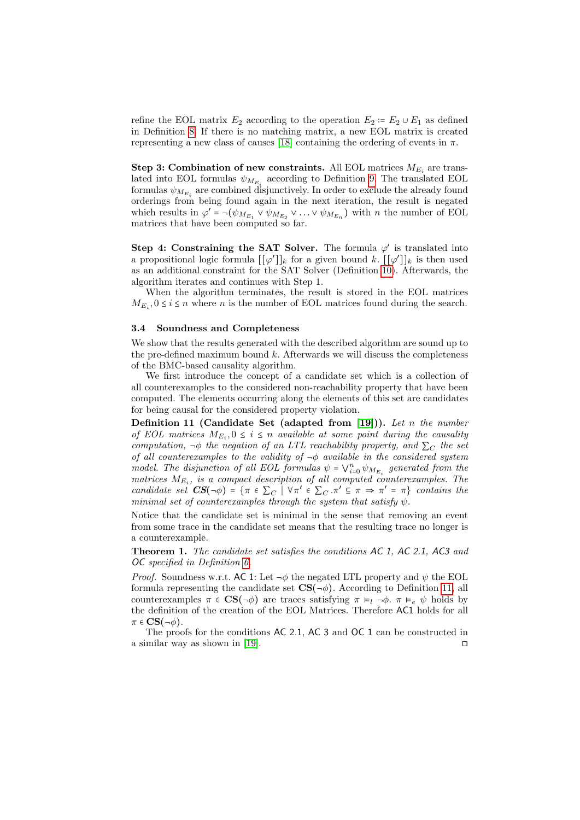refine the EOL matrix  $E_2$  according to the operation  $E_2 \coloneqq E_2 \cup E_1$  as defined in Definition [8.](#page-6-3) If there is no matching matrix, a new EOL matrix is created representing a new class of causes [\[18\]](#page-17-0) containing the ordering of events in  $\pi$ .

Step 3: Combination of new constraints. All EOL matrices  $M_{E_i}$  are translated into EOL formulas  $\psi_{M_{E_i}}$  according to Definition [9.](#page-7-0) The translated EOL formulas  $\psi_{M_{E_i}}$  are combined disjunctively. In order to exclude the already found orderings from being found again in the next iteration, the result is negated which results in  $\varphi' = \neg(\psi_{M_{E_1}} \vee \psi_{M_{E_2}} \vee \ldots \vee \psi_{M_{E_n}})$  with *n* the number of EOL matrices that have been computed so far.

Step 4: Constraining the SAT Solver. The formula  $\varphi'$  is translated into a propositional logic formula  $[[\varphi']]_k$  for a given bound k.  $[[\varphi']]_k$  is then used as an additional constraint for the SAT Solver (Definition [10\)](#page-7-1). Afterwards, the algorithm iterates and continues with Step 1.

When the algorithm terminates, the result is stored in the EOL matrices  $M_{E_i}$ ,  $0 \le i \le n$  where *n* is the number of EOL matrices found during the search.

### 3.4 Soundness and Completeness

We show that the results generated with the described algorithm are sound up to the pre-defined maximum bound  $k$ . Afterwards we will discuss the completeness of the BMC-based causality algorithm.

We first introduce the concept of a candidate set which is a collection of all counterexamples to the considered non-reachability property that have been computed. The elements occurring along the elements of this set are candidates for being causal for the considered property violation.

<span id="page-9-0"></span>Definition 11 (Candidate Set (adapted from  $[19]$ )). Let n the number of EOL matrices  $M_{E_i}$ ,  $0 \le i \le n$  available at some point during the causality computation,  $\neg \phi$  the negation of an LTL reachability property, and  $\Sigma_c$  the set of all counterexamples to the validity of  $\neg \phi$  available in the considered system model. The disjunction of all EOL formulas  $\psi = \bigvee_{i=0}^{n} \psi_{M_{E_i}}$  generated from the matrices  $M_{E_i}$ , is a compact description of all computed counterexamples. The candidate set  $CS(\neg \phi) = {\pi \in \sum_C |\forall \pi' \in \sum_C .\pi' \subseteq \pi \Rightarrow \pi' = \pi}$  contains the minimal set of counterexamples through the system that satisfy  $\psi$ .

Notice that the candidate set is minimal in the sense that removing an event from some trace in the candidate set means that the resulting trace no longer is a counterexample.

**Theorem 1.** The candidate set satisfies the conditions AC 1, AC 2.1, AC3 and OC specified in Definition [6.](#page-4-0)

*Proof.* Soundness w.r.t. AC 1: Let  $\neg \phi$  the negated LTL property and  $\psi$  the EOL formula representing the candidate set  $CS(\neg \phi)$ . According to Definition [11,](#page-9-0) all counterexamples  $\pi \in \mathbf{CS}(\neg \phi)$  are traces satisfying  $\pi \vDash_l \neg \phi$ .  $\pi \vDash_e \psi$  holds by the definition of the creation of the EOL Matrices. Therefore AC1 holds for all  $\pi \in \mathbf{CS}(\neg \phi)$ .

The proofs for the conditions AC 2.1, AC 3 and OC 1 can be constructed in a similar way as shown in [\[19\]](#page-17-6). □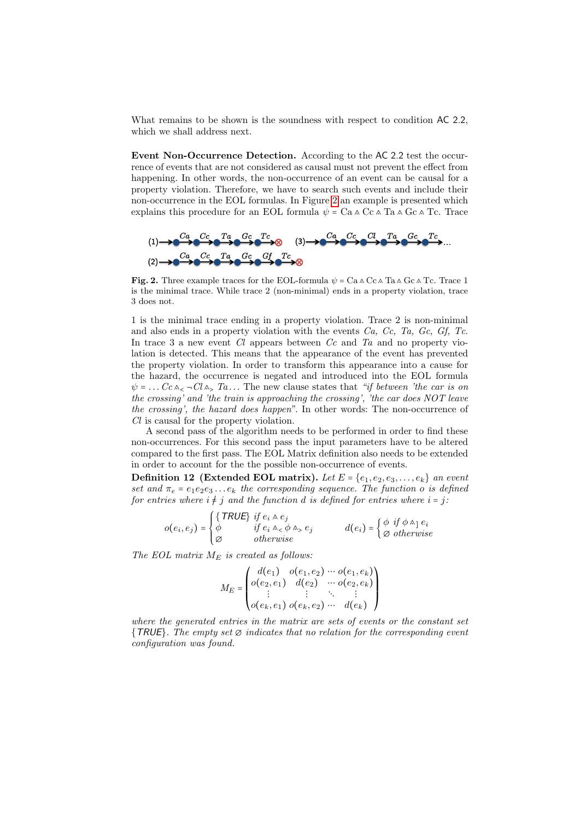What remains to be shown is the soundness with respect to condition AC 2.2, which we shall address next.

Event Non-Occurrence Detection. According to the AC 2.2 test the occurrence of events that are not considered as causal must not prevent the effect from happening. In other words, the non-occurrence of an event can be causal for a property violation. Therefore, we have to search such events and include their non-occurrence in the EOL formulas. In Figure [2](#page-10-0) an example is presented which explains this procedure for an EOL formula  $\psi = \text{Ca} \wedge \text{Ca} \wedge \text{Ta} \wedge \text{Gc} \wedge \text{Te}$ . Trace



<span id="page-10-0"></span>**Fig. 2.** Three example traces for the EOL-formula  $\psi = Ca \wedge Cc \wedge Ta \wedge Gc \wedge Tc$ . Trace 1 is the minimal trace. While trace 2 (non-minimal) ends in a property violation, trace 3 does not.

1 is the minimal trace ending in a property violation. Trace 2 is non-minimal and also ends in a property violation with the events  $Ca, Ce, Ta, Gc, Gf, Tc$ . In trace 3 a new event  $Cl$  appears between  $Cc$  and  $Ta$  and no property violation is detected. This means that the appearance of the event has prevented the property violation. In order to transform this appearance into a cause for the hazard, the occurrence is negated and introduced into the EOL formula  $\psi = \ldots Cc \wedge_{\leq} \neg C l \wedge_{\geq} Ta \ldots$  The new clause states that "if between 'the car is on the crossing' and 'the train is approaching the crossing', 'the car does NOT leave the crossing', the hazard does happen". In other words: The non-occurrence of Cl is causal for the property violation.

A second pass of the algorithm needs to be performed in order to find these non-occurrences. For this second pass the input parameters have to be altered compared to the first pass. The EOL Matrix definition also needs to be extended in order to account for the the possible non-occurrence of events.

**Definition 12 (Extended EOL matrix).** Let  $E = \{e_1, e_2, e_3, \ldots, e_k\}$  an event set and  $\pi_e = e_1 e_2 e_3 \dots e_k$  the corresponding sequence. The function o is defined for entries where  $i \neq j$  and the function d is defined for entries where  $i = j$ :

$$
o(e_i, e_j) = \begin{cases} \{ \text{TRUE} \} & \text{if } e_i \land e_j \\ \phi & \text{if } e_i \land \phi \land \phi \land \phi \\ \varnothing & \text{otherwise} \end{cases} \qquad d(e_i) = \begin{cases} \phi & \text{if } \phi \land \phi_i \\ \varnothing & \text{otherwise} \end{cases}
$$

The EOL matrix  $M_E$  is created as follows:

<span id="page-10-1"></span>
$$
M_E = \begin{pmatrix} d(e_1) & o(e_1, e_2) & \cdots & o(e_1, e_k) \\ o(e_2, e_1) & d(e_2) & \cdots & o(e_2, e_k) \\ \vdots & \vdots & \ddots & \vdots \\ o(e_k, e_1) & o(e_k, e_2) & \cdots & d(e_k) \end{pmatrix}
$$

where the generated entries in the matrix are sets of events or the constant set  ${TRUE}.$  The empty set  $\emptyset$  indicates that no relation for the corresponding event configuration was found.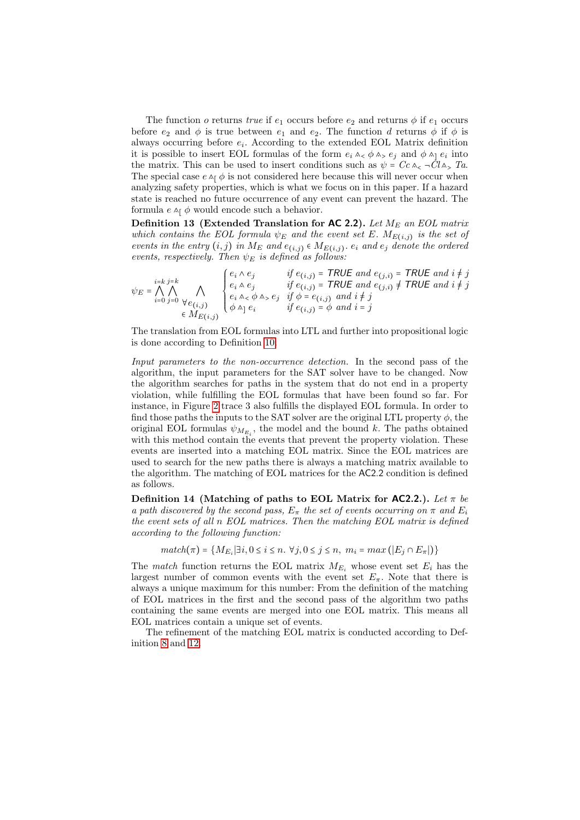The function o returns true if  $e_1$  occurs before  $e_2$  and returns  $\phi$  if  $e_1$  occurs before  $e_2$  and  $\phi$  is true between  $e_1$  and  $e_2$ . The function d returns  $\phi$  if  $\phi$  is always occurring before  $e_i$ . According to the extended EOL Matrix definition it is possible to insert EOL formulas of the form  $e_i \wedge \langle \phi \wedge \rangle e_j$  and  $\phi \wedge \gamma e_i$  into the matrix. This can be used to insert conditions such as  $\psi = Cc \wedge_{\leq} \neg C l \wedge_{\geq} Ta$ . The special case  $e \wedge \phi$  is not considered here because this will never occur when analyzing safety properties, which is what we focus on in this paper. If a hazard state is reached no future occurrence of any event can prevent the hazard. The formula  $e \wedge \phi$  would encode such a behavior.

<span id="page-11-1"></span>Definition 13 (Extended Translation for  $AC$  2.2). Let  $M_E$  an EOL matrix which contains the EOL formula  $\psi_E$  and the event set E.  $M_{E(i,j)}$  is the set of events in the entry  $(i, j)$  in  $M_E$  and  $e_{(i,j)} \in M_{E(i,j)}$ .  $e_i$  and  $e_j$  denote the ordered events, respectively. Then  $\psi_E$  is defined as follows:

$$
\psi_E = \bigwedge_{i=0}^{i=k} \bigwedge_{j=0}^{j=k} \bigwedge_{\substack{V \in (i,j) \\ V \in (i,j)}} \left\{ \begin{matrix} e_i \wedge e_j & \text{if } e_{(i,j)} = \text{TRUE and } e_{(j,i)} = \text{TRUE and } i \neq j \\ e_i \wedge e_j & \text{if } e_{(i,j)} = \text{TRUE and } e_{(j,i)} \neq \text{TRUE and } i \neq j \\ e_i \wedge e_j & \text{if } \phi = e_{(i,j)} \text{ and } i \neq j \\ \phi \wedge_1 e_i & \text{if } e_{(i,j)} = \phi \text{ and } i = j \end{matrix} \right.
$$

The translation from EOL formulas into LTL and further into propositional logic is done according to Definition [10.](#page-7-1)

Input parameters to the non-occurrence detection. In the second pass of the algorithm, the input parameters for the SAT solver have to be changed. Now the algorithm searches for paths in the system that do not end in a property violation, while fulfilling the EOL formulas that have been found so far. For instance, in Figure [2](#page-10-0) trace 3 also fulfills the displayed EOL formula. In order to find those paths the inputs to the SAT solver are the original LTL property  $\phi$ , the original EOL formulas  $\psi_{M_{E_i}}$ , the model and the bound k. The paths obtained with this method contain the events that prevent the property violation. These events are inserted into a matching EOL matrix. Since the EOL matrices are used to search for the new paths there is always a matching matrix available to the algorithm. The matching of EOL matrices for the AC2.2 condition is defined as follows.

<span id="page-11-0"></span>Definition 14 (Matching of paths to EOL Matrix for AC2.2.). Let  $\pi$  be a path discovered by the second pass,  $E_{\pi}$  the set of events occurring on  $\pi$  and  $E_i$ the event sets of all n EOL matrices. Then the matching EOL matrix is defined according to the following function:

$$
match(\pi) = \{M_{E_i} | \exists i, 0 \le i \le n. \ \forall j, 0 \le j \le n, \ m_i = max\left(|E_j \cap E_{\pi}|\right)\}
$$

The match function returns the EOL matrix  $M_{E_i}$  whose event set  $E_i$  has the largest number of common events with the event set  $E_{\pi}$ . Note that there is always a unique maximum for this number: From the definition of the matching of EOL matrices in the first and the second pass of the algorithm two paths containing the same events are merged into one EOL matrix. This means all EOL matrices contain a unique set of events.

The refinement of the matching EOL matrix is conducted according to Definition [8](#page-6-3) and [12.](#page-10-1)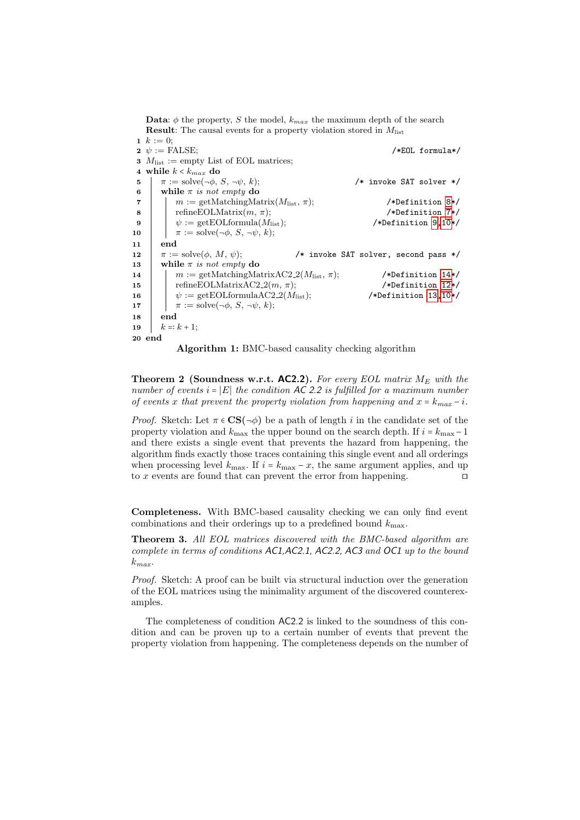**Data:**  $\phi$  the property, S the model,  $k_{max}$  the maximum depth of the search **Result:** The causal events for a property violation stored in  $M_{\text{list}}$ 1  $k := 0$ ; 2  $\psi :=$  FALSE;  $\overline{\phantom{a}}$  /\*EOL formula\*/ 3  $M_{\text{list}} := \text{empty List of EOL matrices};$ 4 while  $k < k_{max}$  do  $5 \mid \pi := \text{solve}(\neg \phi, S, \neg \psi, k);$  /\* invoke SAT solver \*/ 6 while  $\pi$  is not empty do 7  $\mid$  m := getMatchingMatrix( $M_{\text{list}}, \pi$ );  $\mid$  /\*Definition [8\\*](#page-6-3)/ 8 refineEOLMatrix $(m, \pi);$ <br>
9 refineEOLMatrix $(m, \pi);$ <br>
9 /\*Definition 9,10\*/ 9  $\psi := \text{getEOLformula}(M_{\text{list}});$ 10  $\pi := \text{solve}(\neg \phi, S, \neg \psi, k);$  $11$  end 12  $\pi := \text{solve}(\phi, M, \psi);$  /\* invoke SAT solver, second pass \*/ 13 while  $\pi$  is not empty do 14  $m := \text{getMatchingMatrixAC2.2}(M_{\text{list}}, \pi);$  /\*Definition [14\\*](#page-11-0)/<br>15 refineEOLMatrixAC2.2(m,  $\pi$ ): /\*Definition 12\*/ 15 refineEOLMatrixAC2\_2(m,  $\pi$ ); /\*Definition [12\\*](#page-10-1)/<br>16  $\psi := \text{getEOLformulaAC2.2}(M_{\text{list}});$  /\*Definition 13,10\*/ 16  $\psi := \text{getEOLformulaAC2.2}(M_{\text{list}});$ 17  $|\pi| := \text{solve}(-\phi, S, -\psi, k);$ 18 end 19  $k = k + 1$ ; 20 end

<span id="page-12-0"></span>Algorithm 1: BMC-based causality checking algorithm

**Theorem 2 (Soundness w.r.t. AC2.2).** For every EOL matrix  $M_E$  with the number of events  $i = |E|$  the condition AC 2.2 is fulfilled for a maximum number of events x that prevent the property violation from happening and  $x = k_{max} - i$ .

*Proof.* Sketch: Let  $\pi \in \mathbb{CS}(\neg \phi)$  be a path of length i in the candidate set of the property violation and  $k_{\text{max}}$  the upper bound on the search depth. If  $i = k_{\text{max}} - 1$ and there exists a single event that prevents the hazard from happening, the algorithm finds exactly those traces containing this single event and all orderings when processing level  $k_{\text{max}}$ . If  $i = k_{\text{max}} - x$ , the same argument applies, and up to x events are found that can prevent the error from happening. ⊓⊔

Completeness. With BMC-based causality checking we can only find event combinations and their orderings up to a predefined bound  $k_{\text{max}}$ .

Theorem 3. All EOL matrices discovered with the BMC-based algorithm are complete in terms of conditions AC1,AC2.1, AC2.2, AC3 and OC1 up to the bound  $k_{max}$ .

Proof. Sketch: A proof can be built via structural induction over the generation of the EOL matrices using the minimality argument of the discovered counterexamples.

The completeness of condition AC2.2 is linked to the soundness of this condition and can be proven up to a certain number of events that prevent the property violation from happening. The completeness depends on the number of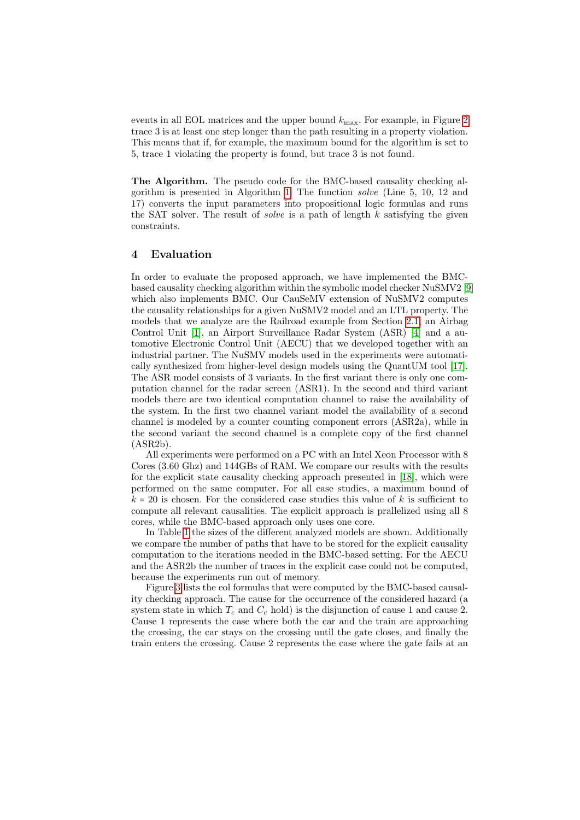events in all EOL matrices and the upper bound  $k_{\text{max}}$ . For example, in Figure [2](#page-10-0) trace 3 is at least one step longer than the path resulting in a property violation. This means that if, for example, the maximum bound for the algorithm is set to 5, trace 1 violating the property is found, but trace 3 is not found.

The Algorithm. The pseudo code for the BMC-based causality checking algorithm is presented in Algorithm [1.](#page-12-0) The function solve (Line 5, 10, 12 and 17) converts the input parameters into propositional logic formulas and runs the SAT solver. The result of *solve* is a path of length  $k$  satisfying the given constraints.

## <span id="page-13-0"></span>4 Evaluation

In order to evaluate the proposed approach, we have implemented the BMCbased causality checking algorithm within the symbolic model checker NuSMV2 [\[9\]](#page-16-5) which also implements BMC. Our CauSeMV extension of NuSMV2 computes the causality relationships for a given NuSMV2 model and an LTL property. The models that we analyze are the Railroad example from Section [2.1,](#page-2-2) an Airbag Control Unit [\[1\]](#page-16-8), an Airport Surveillance Radar System (ASR) [\[4\]](#page-16-3) and a automotive Electronic Control Unit (AECU) that we developed together with an industrial partner. The NuSMV models used in the experiments were automatically synthesized from higher-level design models using the QuantUM tool [\[17\]](#page-17-4). The ASR model consists of 3 variants. In the first variant there is only one computation channel for the radar screen (ASR1). In the second and third variant models there are two identical computation channel to raise the availability of the system. In the first two channel variant model the availability of a second channel is modeled by a counter counting component errors (ASR2a), while in the second variant the second channel is a complete copy of the first channel  $(ASR2b)$ .

All experiments were performed on a PC with an Intel Xeon Processor with 8 Cores (3.60 Ghz) and 144GBs of RAM. We compare our results with the results for the explicit state causality checking approach presented in [\[18\]](#page-17-0), which were performed on the same computer. For all case studies, a maximum bound of  $k = 20$  is chosen. For the considered case studies this value of k is sufficient to compute all relevant causalities. The explicit approach is prallelized using all 8 cores, while the BMC-based approach only uses one core.

In Table [1](#page-14-0) the sizes of the different analyzed models are shown. Additionally we compare the number of paths that have to be stored for the explicit causality computation to the iterations needed in the BMC-based setting. For the AECU and the ASR2b the number of traces in the explicit case could not be computed, because the experiments run out of memory.

Figure [3](#page-14-1) lists the eol formulas that were computed by the BMC-based causality checking approach. The cause for the occurrence of the considered hazard (a system state in which  $T_c$  and  $C_c$  hold) is the disjunction of cause 1 and cause 2. Cause 1 represents the case where both the car and the train are approaching the crossing, the car stays on the crossing until the gate closes, and finally the train enters the crossing. Cause 2 represents the case where the gate fails at an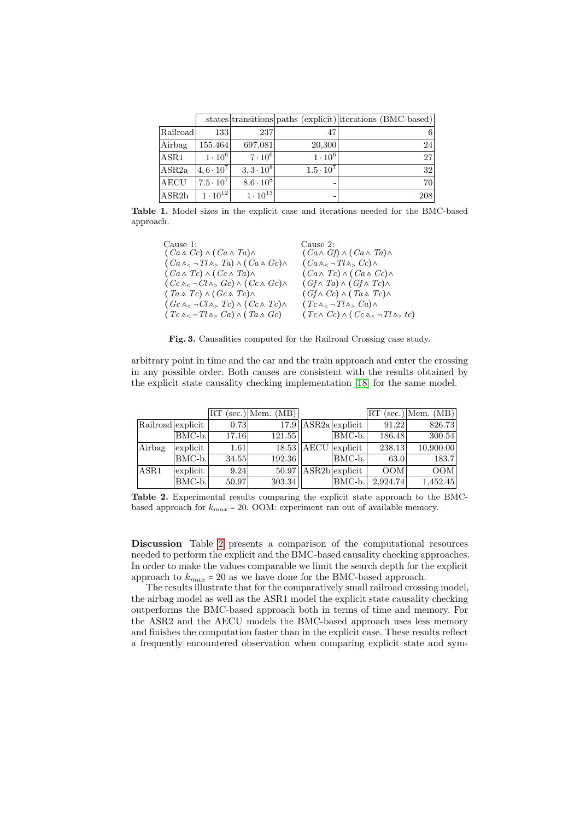|                    |                     |                           |                    | states transitions paths (explicit) iterations (BMC-based) |
|--------------------|---------------------|---------------------------|--------------------|------------------------------------------------------------|
| Railroad           | 1331                | 237                       | 47                 | 6                                                          |
| Airbag             | 155,464             | 697,081                   | 20,300             | 24                                                         |
| ASR1               | $1 \cdot 10^6$      | $7 \cdot 10^6$            | $1 \cdot 10^6$     | 27                                                         |
| ASR <sub>2a</sub>  | $ 4, 6 \cdot 10^7 $ | $3,3\cdot10^8$            | $1.5 \cdot 10^{7}$ | 32                                                         |
| <b>AECU</b>        | $7.5 \cdot 10^{7}$  | $8.6\cdot\overline{10^8}$ |                    | 70                                                         |
| ASR <sub>2</sub> b | $1 \cdot 10^{12}$   | $1 \cdot 10^{13}$         |                    | 208                                                        |

Table 1. Model sizes in the explicit case and iterations needed for the BMC-based approach.

<span id="page-14-0"></span>

| Cause 2:                                                         |
|------------------------------------------------------------------|
| $(Ca \wedge Gf) \wedge (Ca \wedge Ta) \wedge$                    |
| $(Ca \wedge_{\leq} \neg Tl \wedge_{>} Cc) \wedge$                |
| $(Ca \wedge Tc) \wedge (Ca \wedge Cc) \wedge$                    |
| $(Gf \wedge Ta) \wedge (Gf \wedge Tc) \wedge$                    |
| $(Gf \wedge Cc) \wedge (Ta \wedge Tc) \wedge$                    |
| $(Tc \wedge_{\leq} Tl \wedge_{>} Ca) \wedge$                     |
| $(Tc \wedge Cc) \wedge (Cc \wedge_{\leq} \neg Tl \wedge_{>} tc)$ |
|                                                                  |

<span id="page-14-1"></span>Fig. 3. Causalities computed for the Railroad Crossing case study.

arbitrary point in time and the car and the train approach and enter the crossing in any possible order. Both causes are consistent with the results obtained by the explicit state causality checking implementation [\[18\]](#page-17-0) for the same model.

|                   |          | RT    | $\lceil \sec.\rceil$ Mem. $(MB)\rceil$ |                          |                       | RT         | $(\text{sec.})$ Mem. $(MB)$ |
|-------------------|----------|-------|----------------------------------------|--------------------------|-----------------------|------------|-----------------------------|
| Railroad explicit |          | 0.73  |                                        |                          | $17.9$ ASR2a explicit | 91.22      | 826.73                      |
|                   | $BMC-b.$ | 17.16 | 121.55                                 |                          | BMC-b.                | 186.48     | 300.54                      |
| Airbag            | explicit | 1.61  |                                        | 18.53   AECU             | explicit              | 238.13     | 10,900.00                   |
|                   | $BMC-b.$ | 34.55 | 192.36                                 |                          | BMC-b.                | 63.0       | 183.7                       |
| ASR1              | explicit | 9.24  |                                        | $50.97$   ASR2b explicit |                       | <b>OOM</b> | OM                          |
|                   | $BMC-b.$ | 50.97 | 303.34                                 |                          | BMC-b.                | 2,924.74   | 1,452.45                    |

<span id="page-14-2"></span>Table 2. Experimental results comparing the explicit state approach to the BMCbased approach for  $k_{max} = 20$ . OOM: experiment ran out of available memory.

Discussion Table [2](#page-14-2) presents a comparison of the computational resources needed to perform the explicit and the BMC-based causality checking approaches. In order to make the values comparable we limit the search depth for the explicit approach to  $k_{max}$  = 20 as we have done for the BMC-based approach.

The results illustrate that for the comparatively small railroad crossing model, the airbag model as well as the ASR1 model the explicit state causality checking outperforms the BMC-based approach both in terms of time and memory. For the ASR2 and the AECU models the BMC-based approach uses less memory and finishes the computation faster than in the explicit case. These results reflect a frequently encountered observation when comparing explicit state and sym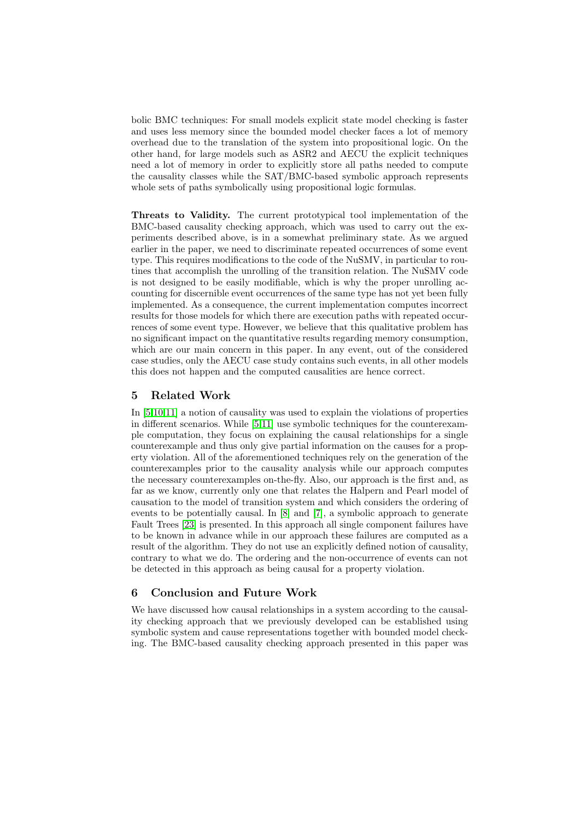bolic BMC techniques: For small models explicit state model checking is faster and uses less memory since the bounded model checker faces a lot of memory overhead due to the translation of the system into propositional logic. On the other hand, for large models such as ASR2 and AECU the explicit techniques need a lot of memory in order to explicitly store all paths needed to compute the causality classes while the SAT/BMC-based symbolic approach represents whole sets of paths symbolically using propositional logic formulas.

Threats to Validity. The current prototypical tool implementation of the BMC-based causality checking approach, which was used to carry out the experiments described above, is in a somewhat preliminary state. As we argued earlier in the paper, we need to discriminate repeated occurrences of some event type. This requires modifications to the code of the NuSMV, in particular to routines that accomplish the unrolling of the transition relation. The NuSMV code is not designed to be easily modifiable, which is why the proper unrolling accounting for discernible event occurrences of the same type has not yet been fully implemented. As a consequence, the current implementation computes incorrect results for those models for which there are execution paths with repeated occurrences of some event type. However, we believe that this qualitative problem has no significant impact on the quantitative results regarding memory consumption, which are our main concern in this paper. In any event, out of the considered case studies, only the AECU case study contains such events, in all other models this does not happen and the computed causalities are hence correct.

## <span id="page-15-0"></span>5 Related Work

In [\[5](#page-16-9)[,10](#page-16-10)[,11\]](#page-16-11) a notion of causality was used to explain the violations of properties in different scenarios. While [\[5,](#page-16-9)[11\]](#page-16-11) use symbolic techniques for the counterexample computation, they focus on explaining the causal relationships for a single counterexample and thus only give partial information on the causes for a property violation. All of the aforementioned techniques rely on the generation of the counterexamples prior to the causality analysis while our approach computes the necessary counterexamples on-the-fly. Also, our approach is the first and, as far as we know, currently only one that relates the Halpern and Pearl model of causation to the model of transition system and which considers the ordering of events to be potentially causal. In [\[8\]](#page-16-12) and [\[7\]](#page-16-13), a symbolic approach to generate Fault Trees [\[23\]](#page-17-8) is presented. In this approach all single component failures have to be known in advance while in our approach these failures are computed as a result of the algorithm. They do not use an explicitly defined notion of causality, contrary to what we do. The ordering and the non-occurrence of events can not be detected in this approach as being causal for a property violation.

## <span id="page-15-1"></span>6 Conclusion and Future Work

We have discussed how causal relationships in a system according to the causality checking approach that we previously developed can be established using symbolic system and cause representations together with bounded model checking. The BMC-based causality checking approach presented in this paper was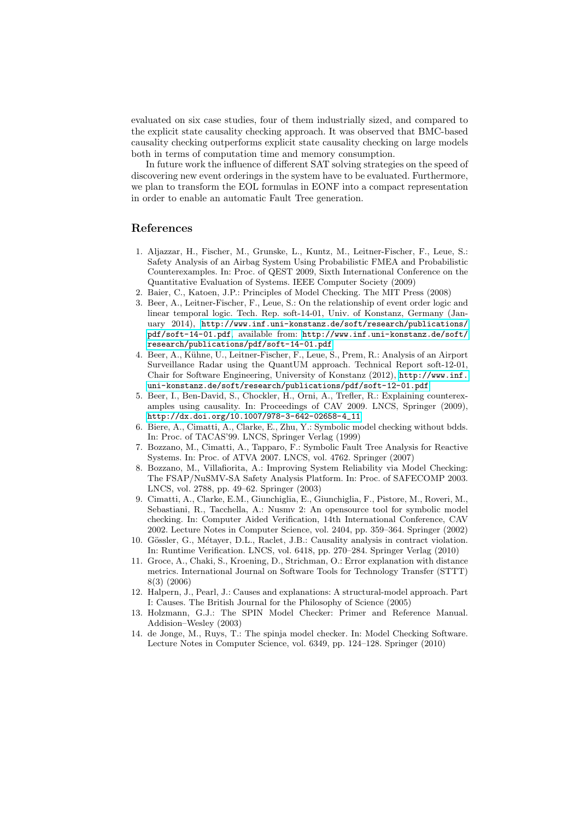evaluated on six case studies, four of them industrially sized, and compared to the explicit state causality checking approach. It was observed that BMC-based causality checking outperforms explicit state causality checking on large models both in terms of computation time and memory consumption.

In future work the influence of different SAT solving strategies on the speed of discovering new event orderings in the system have to be evaluated. Furthermore, we plan to transform the EOL formulas in EONF into a compact representation in order to enable an automatic Fault Tree generation.

## References

- <span id="page-16-8"></span>1. Aljazzar, H., Fischer, M., Grunske, L., Kuntz, M., Leitner-Fischer, F., Leue, S.: Safety Analysis of an Airbag System Using Probabilistic FMEA and Probabilistic Counterexamples. In: Proc. of QEST 2009, Sixth International Conference on the Quantitative Evaluation of Systems. IEEE Computer Society (2009)
- <span id="page-16-6"></span>2. Baier, C., Katoen, J.P.: Principles of Model Checking. The MIT Press (2008)
- <span id="page-16-7"></span>3. Beer, A., Leitner-Fischer, F., Leue, S.: On the relationship of event order logic and linear temporal logic. Tech. Rep. soft-14-01, Univ. of Konstanz, Germany (January 2014), [http://www.inf.uni-konstanz.de/soft/research/publications/](http://www.inf.uni-konstanz.de/soft/research/publications/pdf/soft-14-01.pdf) [pdf/soft-14-01.pdf](http://www.inf.uni-konstanz.de/soft/research/publications/pdf/soft-14-01.pdf), available from: [http://www.inf.uni-konstanz.de/soft/](http://www.inf.uni-konstanz.de/soft/research/publications/pdf/soft-14-01.pdf) [research/publications/pdf/soft-14-01.pdf](http://www.inf.uni-konstanz.de/soft/research/publications/pdf/soft-14-01.pdf)
- <span id="page-16-3"></span>4. Beer, A., Kühne, U., Leitner-Fischer, F., Leue, S., Prem, R.: Analysis of an Airport Surveillance Radar using the QuantUM approach. Technical Report soft-12-01, Chair for Software Engineering, University of Konstanz (2012), [http://www.inf.](http://www.inf.uni-konstanz.de/soft/research/publications/pdf/soft-12-01.pdf) [uni-konstanz.de/soft/research/publications/pdf/soft-12-01.pdf](http://www.inf.uni-konstanz.de/soft/research/publications/pdf/soft-12-01.pdf)
- <span id="page-16-9"></span>5. Beer, I., Ben-David, S., Chockler, H., Orni, A., Trefler, R.: Explaining counterexamples using causality. In: Proceedings of CAV 2009. LNCS, Springer (2009), [http://dx.doi.org/10.1007/978-3-642-02658-4\\_11](http://dx.doi.org/10.1007/978-3-642-02658-4_11)
- <span id="page-16-4"></span>6. Biere, A., Cimatti, A., Clarke, E., Zhu, Y.: Symbolic model checking without bdds. In: Proc. of TACAS'99. LNCS, Springer Verlag (1999)
- <span id="page-16-13"></span>7. Bozzano, M., Cimatti, A., Tapparo, F.: Symbolic Fault Tree Analysis for Reactive Systems. In: Proc. of ATVA 2007. LNCS, vol. 4762. Springer (2007)
- <span id="page-16-12"></span>8. Bozzano, M., Villafiorita, A.: Improving System Reliability via Model Checking: The FSAP/NuSMV-SA Safety Analysis Platform. In: Proc. of SAFECOMP 2003. LNCS, vol. 2788, pp. 49–62. Springer (2003)
- <span id="page-16-5"></span>9. Cimatti, A., Clarke, E.M., Giunchiglia, E., Giunchiglia, F., Pistore, M., Roveri, M., Sebastiani, R., Tacchella, A.: Nusmv 2: An opensource tool for symbolic model checking. In: Computer Aided Verification, 14th International Conference, CAV 2002. Lecture Notes in Computer Science, vol. 2404, pp. 359–364. Springer (2002)
- <span id="page-16-10"></span>10. Gössler, G., Métayer, D.L., Raclet, J.B.: Causality analysis in contract violation. In: Runtime Verification. LNCS, vol. 6418, pp. 270–284. Springer Verlag (2010)
- <span id="page-16-11"></span>11. Groce, A., Chaki, S., Kroening, D., Strichman, O.: Error explanation with distance metrics. International Journal on Software Tools for Technology Transfer (STTT) 8(3) (2006)
- <span id="page-16-0"></span>12. Halpern, J., Pearl, J.: Causes and explanations: A structural-model approach. Part I: Causes. The British Journal for the Philosophy of Science (2005)
- <span id="page-16-2"></span>13. Holzmann, G.J.: The SPIN Model Checker: Primer and Reference Manual. Addision–Wesley (2003)
- <span id="page-16-1"></span>14. de Jonge, M., Ruys, T.: The spinja model checker. In: Model Checking Software. Lecture Notes in Computer Science, vol. 6349, pp. 124–128. Springer (2010)